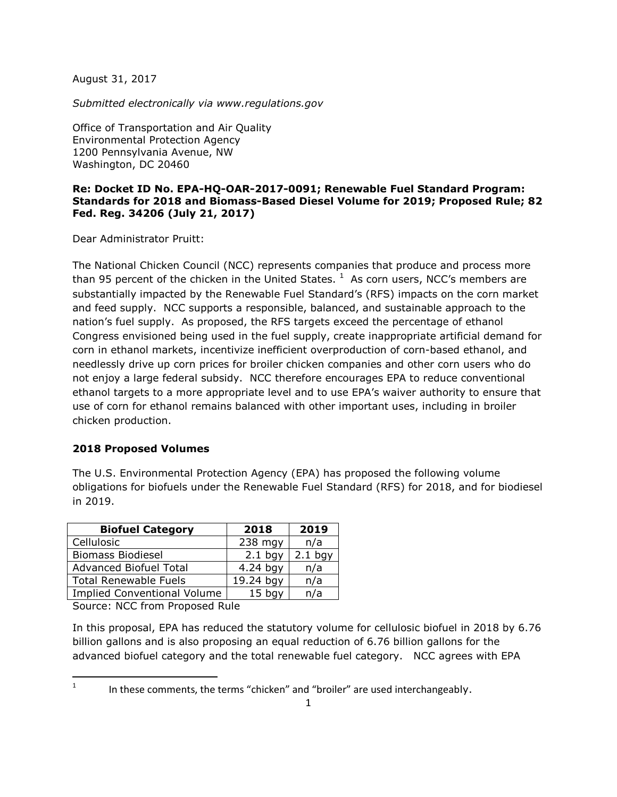August 31, 2017

*Submitted electronically via www.regulations.gov*

Office of Transportation and Air Quality Environmental Protection Agency 1200 Pennsylvania Avenue, NW Washington, DC 20460

### **Re: Docket ID No. EPA-HQ-OAR-2017-0091; Renewable Fuel Standard Program: Standards for 2018 and Biomass-Based Diesel Volume for 2019; Proposed Rule; 82 Fed. Reg. 34206 (July 21, 2017)**

Dear Administrator Pruitt:

The National Chicken Council (NCC) represents companies that produce and process more than 95 percent of the chicken in the United States.  $<sup>1</sup>$  $<sup>1</sup>$  $<sup>1</sup>$  As corn users, NCC's members are</sup> substantially impacted by the Renewable Fuel Standard's (RFS) impacts on the corn market and feed supply. NCC supports a responsible, balanced, and sustainable approach to the nation's fuel supply. As proposed, the RFS targets exceed the percentage of ethanol Congress envisioned being used in the fuel supply, create inappropriate artificial demand for corn in ethanol markets, incentivize inefficient overproduction of corn-based ethanol, and needlessly drive up corn prices for broiler chicken companies and other corn users who do not enjoy a large federal subsidy. NCC therefore encourages EPA to reduce conventional ethanol targets to a more appropriate level and to use EPA's waiver authority to ensure that use of corn for ethanol remains balanced with other important uses, including in broiler chicken production.

#### **2018 Proposed Volumes**

The U.S. Environmental Protection Agency (EPA) has proposed the following volume obligations for biofuels under the Renewable Fuel Standard (RFS) for 2018, and for biodiesel in 2019.

| <b>Biofuel Category</b>            | 2018       | 2019      |
|------------------------------------|------------|-----------|
| Cellulosic                         | 238 mgy    | n/a       |
| <b>Biomass Biodiesel</b>           | $2.1$ bgy  | $2.1$ bgy |
| <b>Advanced Biofuel Total</b>      | $4.24$ bgy | n/a       |
| <b>Total Renewable Fuels</b>       | 19.24 bgy  | n/a       |
| <b>Implied Conventional Volume</b> | $15$ bav   | n/a       |

Source: NCC from Proposed Rule

In this proposal, EPA has reduced the statutory volume for cellulosic biofuel in 2018 by 6.76 billion gallons and is also proposing an equal reduction of 6.76 billion gallons for the advanced biofuel category and the total renewable fuel category. NCC agrees with EPA

<span id="page-0-0"></span><sup>1</sup> In these comments, the terms "chicken" and "broiler" are used interchangeably.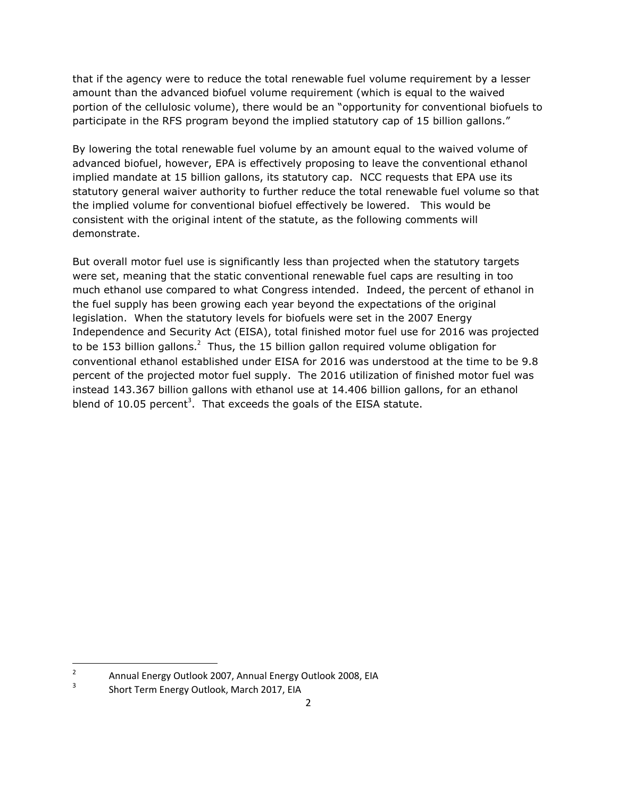that if the agency were to reduce the total renewable fuel volume requirement by a lesser amount than the advanced biofuel volume requirement (which is equal to the waived portion of the cellulosic volume), there would be an "opportunity for conventional biofuels to participate in the RFS program beyond the implied statutory cap of 15 billion gallons."

By lowering the total renewable fuel volume by an amount equal to the waived volume of advanced biofuel, however, EPA is effectively proposing to leave the conventional ethanol implied mandate at 15 billion gallons, its statutory cap. NCC requests that EPA use its statutory general waiver authority to further reduce the total renewable fuel volume so that the implied volume for conventional biofuel effectively be lowered. This would be consistent with the original intent of the statute, as the following comments will demonstrate.

But overall motor fuel use is significantly less than projected when the statutory targets were set, meaning that the static conventional renewable fuel caps are resulting in too much ethanol use compared to what Congress intended. Indeed, the percent of ethanol in the fuel supply has been growing each year beyond the expectations of the original legislation. When the statutory levels for biofuels were set in the 2007 Energy Independence and Security Act (EISA), total finished motor fuel use for 2016 was projected to be 153 billion gallons.<sup>[2](#page-1-0)</sup> Thus, the 15 billion gallon required volume obligation for conventional ethanol established under EISA for 2016 was understood at the time to be 9.8 percent of the projected motor fuel supply. The 2016 utilization of finished motor fuel was instead 143.367 billion gallons with ethanol use at 14.406 billion gallons, for an ethanol blend of 10[.](#page-1-1)05 percent<sup>3</sup>. That exceeds the goals of the EISA statute.

<span id="page-1-0"></span><sup>2</sup> Annual Energy Outlook 2007, Annual Energy Outlook 2008, EIA

<span id="page-1-1"></span><sup>3</sup> Short Term Energy Outlook, March 2017, EIA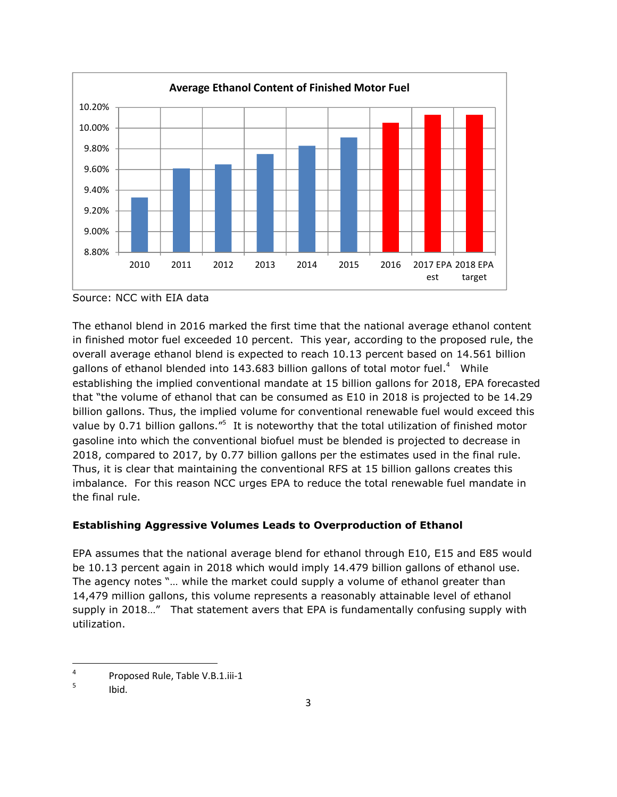

Source: NCC with EIA data

The ethanol blend in 2016 marked the first time that the national average ethanol content in finished motor fuel exceeded 10 percent. This year, according to the proposed rule, the overall average ethanol blend is expected to reach 10.13 percent based on 14.561 billion gallons of ethanol blended into 1[4](#page-2-0)3.683 billion gallons of total motor fuel.<sup>4</sup> While establishing the implied conventional mandate at 15 billion gallons for 2018, EPA forecasted that "the volume of ethanol that can be consumed as E10 in 2018 is projected to be 14.29 billion gallons. Thus, the implied volume for conventional renewable fuel would exceed this value by 0.71 billion gallons."<sup>[5](#page-2-1)</sup> It is noteworthy that the total utilization of finished motor gasoline into which the conventional biofuel must be blended is projected to decrease in 2018, compared to 2017, by 0.77 billion gallons per the estimates used in the final rule. Thus, it is clear that maintaining the conventional RFS at 15 billion gallons creates this imbalance. For this reason NCC urges EPA to reduce the total renewable fuel mandate in the final rule.

# **Establishing Aggressive Volumes Leads to Overproduction of Ethanol**

EPA assumes that the national average blend for ethanol through E10, E15 and E85 would be 10.13 percent again in 2018 which would imply 14.479 billion gallons of ethanol use. The agency notes "… while the market could supply a volume of ethanol greater than 14,479 million gallons, this volume represents a reasonably attainable level of ethanol supply in 2018…" That statement avers that EPA is fundamentally confusing supply with utilization.

<span id="page-2-0"></span><sup>4</sup> Proposed Rule, Table V.B.1.iii-1

<span id="page-2-1"></span><sup>5</sup> Ibid.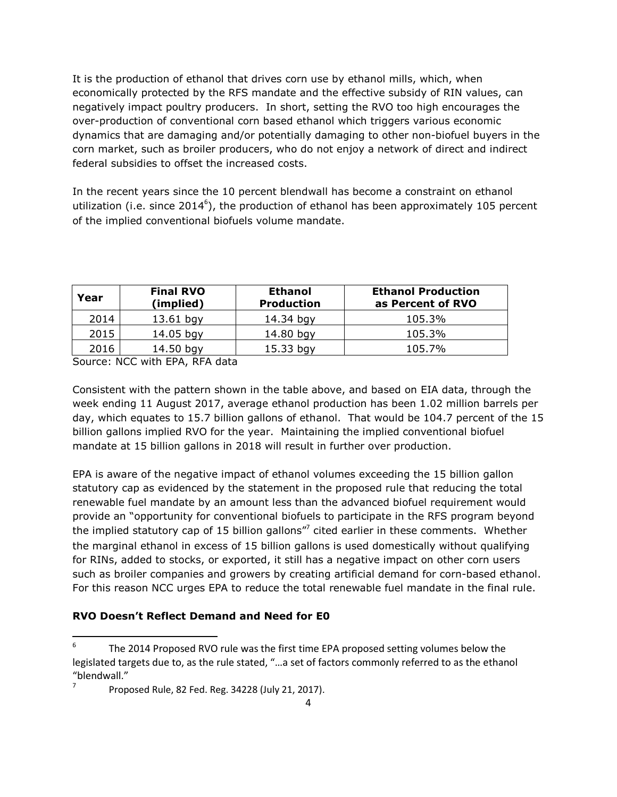It is the production of ethanol that drives corn use by ethanol mills, which, when economically protected by the RFS mandate and the effective subsidy of RIN values, can negatively impact poultry producers. In short, setting the RVO too high encourages the over-production of conventional corn based ethanol which triggers various economic dynamics that are damaging and/or potentially damaging to other non-biofuel buyers in the corn market, such as broiler producers, who do not enjoy a network of direct and indirect federal subsidies to offset the increased costs.

In the recent years since the 10 percent blendwall has become a constraint on ethanol utilization (i.e. since 2014<sup>6</sup>[\)](#page-3-0), the production of ethanol has been approximately 105 percent of the implied conventional biofuels volume mandate.

| Year | <b>Final RVO</b><br>(implied) | <b>Ethanol</b><br><b>Production</b> | <b>Ethanol Production</b><br>as Percent of RVO |
|------|-------------------------------|-------------------------------------|------------------------------------------------|
| 2014 | $13.61$ bgy                   | 14.34 bgy                           | 105.3%                                         |
| 2015 | 14.05 bgy                     | 14.80 bgy                           | 105.3%                                         |
| 2016 | $14.50$ bgy                   | $15.33$ bgy                         | 105.7%                                         |

Source: NCC with EPA, RFA data

Consistent with the pattern shown in the table above, and based on EIA data, through the week ending 11 August 2017, average ethanol production has been 1.02 million barrels per day, which equates to 15.7 billion gallons of ethanol. That would be 104.7 percent of the 15 billion gallons implied RVO for the year. Maintaining the implied conventional biofuel mandate at 15 billion gallons in 2018 will result in further over production.

EPA is aware of the negative impact of ethanol volumes exceeding the 15 billion gallon statutory cap as evidenced by the statement in the proposed rule that reducing the total renewable fuel mandate by an amount less than the advanced biofuel requirement would provide an "opportunity for conventional biofuels to participate in the RFS program beyond the implied statutory cap of 15 billion gallons"<sup>[7](#page-3-1)</sup> cited earlier in these comments. Whether the marginal ethanol in excess of 15 billion gallons is used domestically without qualifying for RINs, added to stocks, or exported, it still has a negative impact on other corn users such as broiler companies and growers by creating artificial demand for corn-based ethanol. For this reason NCC urges EPA to reduce the total renewable fuel mandate in the final rule.

## **RVO Doesn't Reflect Demand and Need for E0**

<span id="page-3-0"></span><sup>6</sup> The 2014 Proposed RVO rule was the first time EPA proposed setting volumes below the legislated targets due to, as the rule stated, "…a set of factors commonly referred to as the ethanol "blendwall."

<span id="page-3-1"></span><sup>7</sup> Proposed Rule, 82 Fed. Reg. 34228 (July 21, 2017).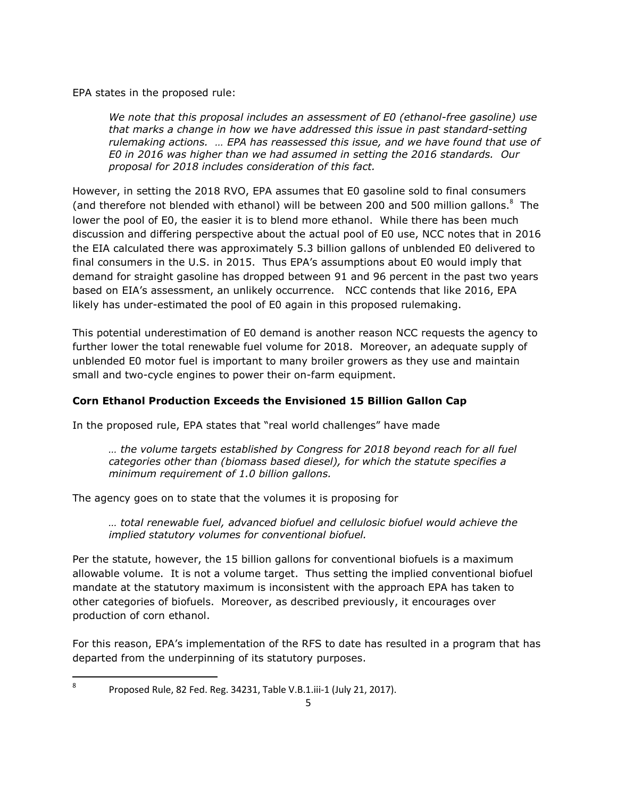EPA states in the proposed rule:

*We note that this proposal includes an assessment of E0 (ethanol-free gasoline) use that marks a change in how we have addressed this issue in past standard-setting rulemaking actions. … EPA has reassessed this issue, and we have found that use of E0 in 2016 was higher than we had assumed in setting the 2016 standards. Our proposal for 2018 includes consideration of this fact.*

However, in setting the 2018 RVO, EPA assumes that E0 gasoline sold to final consumers (and therefore not blended with ethanol) will be between 200 and 500 million gallons. $^8$  $^8$  The lower the pool of E0, the easier it is to blend more ethanol. While there has been much discussion and differing perspective about the actual pool of E0 use, NCC notes that in 2016 the EIA calculated there was approximately 5.3 billion gallons of unblended E0 delivered to final consumers in the U.S. in 2015. Thus EPA's assumptions about E0 would imply that demand for straight gasoline has dropped between 91 and 96 percent in the past two years based on EIA's assessment, an unlikely occurrence. NCC contends that like 2016, EPA likely has under-estimated the pool of E0 again in this proposed rulemaking.

This potential underestimation of E0 demand is another reason NCC requests the agency to further lower the total renewable fuel volume for 2018. Moreover, an adequate supply of unblended E0 motor fuel is important to many broiler growers as they use and maintain small and two-cycle engines to power their on-farm equipment.

## **Corn Ethanol Production Exceeds the Envisioned 15 Billion Gallon Cap**

In the proposed rule, EPA states that "real world challenges" have made

*… the volume targets established by Congress for 2018 beyond reach for all fuel categories other than (biomass based diesel), for which the statute specifies a minimum requirement of 1.0 billion gallons.*

The agency goes on to state that the volumes it is proposing for

*… total renewable fuel, advanced biofuel and cellulosic biofuel would achieve the implied statutory volumes for conventional biofuel.*

Per the statute, however, the 15 billion gallons for conventional biofuels is a maximum allowable volume. It is not a volume target. Thus setting the implied conventional biofuel mandate at the statutory maximum is inconsistent with the approach EPA has taken to other categories of biofuels. Moreover, as described previously, it encourages over production of corn ethanol.

For this reason, EPA's implementation of the RFS to date has resulted in a program that has departed from the underpinning of its statutory purposes.

<span id="page-4-0"></span>8

Proposed Rule, 82 Fed. Reg. 34231, Table V.B.1.iii-1 (July 21, 2017).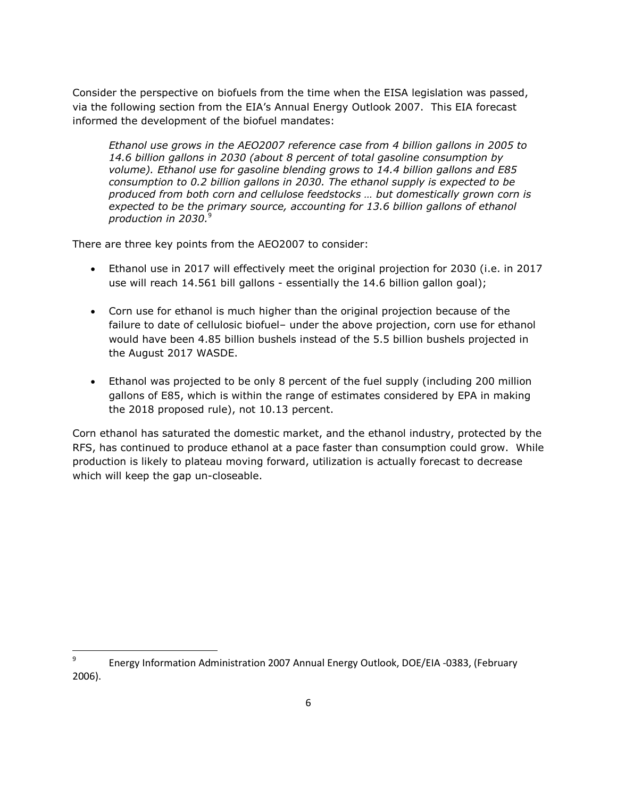Consider the perspective on biofuels from the time when the EISA legislation was passed, via the following section from the EIA's Annual Energy Outlook 2007. This EIA forecast informed the development of the biofuel mandates:

*Ethanol use grows in the AEO2007 reference case from 4 billion gallons in 2005 to 14.6 billion gallons in 2030 (about 8 percent of total gasoline consumption by volume). Ethanol use for gasoline blending grows to 14.4 billion gallons and E85 consumption to 0.2 billion gallons in 2030. The ethanol supply is expected to be produced from both corn and cellulose feedstocks … but domestically grown corn is expected to be the primary source, accounting for 13.6 billion gallons of ethanol production in 2030.*[9](#page-5-0)

There are three key points from the AEO2007 to consider:

- Ethanol use in 2017 will effectively meet the original projection for 2030 (i.e. in 2017 use will reach 14.561 bill gallons - essentially the 14.6 billion gallon goal);
- Corn use for ethanol is much higher than the original projection because of the failure to date of cellulosic biofuel– under the above projection, corn use for ethanol would have been 4.85 billion bushels instead of the 5.5 billion bushels projected in the August 2017 WASDE.
- Ethanol was projected to be only 8 percent of the fuel supply (including 200 million gallons of E85, which is within the range of estimates considered by EPA in making the 2018 proposed rule), not 10.13 percent.

Corn ethanol has saturated the domestic market, and the ethanol industry, protected by the RFS, has continued to produce ethanol at a pace faster than consumption could grow. While production is likely to plateau moving forward, utilization is actually forecast to decrease which will keep the gap un-closeable.

<span id="page-5-0"></span><sup>9</sup> Energy Information Administration 2007 Annual Energy Outlook, DOE/EIA -0383, (February 2006).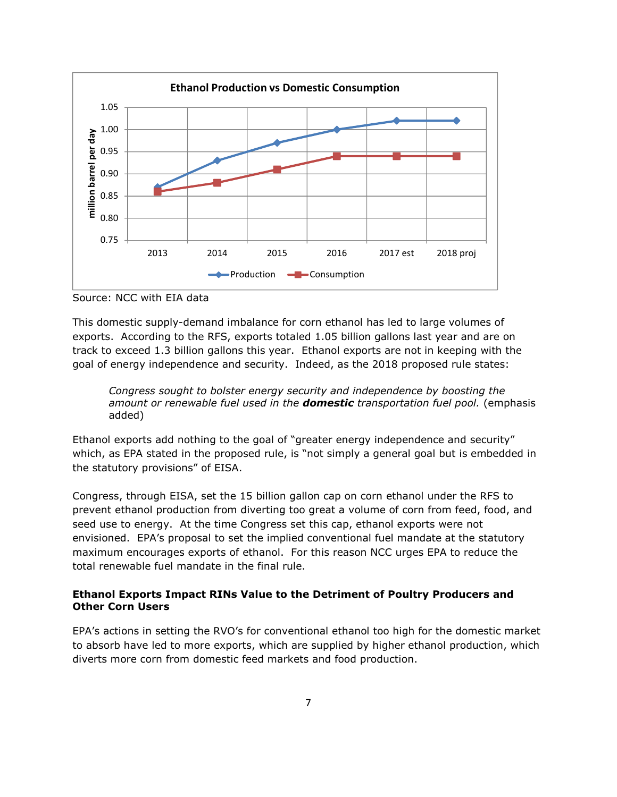

Source: NCC with EIA data

This domestic supply-demand imbalance for corn ethanol has led to large volumes of exports. According to the RFS, exports totaled 1.05 billion gallons last year and are on track to exceed 1.3 billion gallons this year. Ethanol exports are not in keeping with the goal of energy independence and security. Indeed, as the 2018 proposed rule states:

*Congress sought to bolster energy security and independence by boosting the amount or renewable fuel used in the domestic transportation fuel pool.* (emphasis added)

Ethanol exports add nothing to the goal of "greater energy independence and security" which, as EPA stated in the proposed rule, is "not simply a general goal but is embedded in the statutory provisions" of EISA.

Congress, through EISA, set the 15 billion gallon cap on corn ethanol under the RFS to prevent ethanol production from diverting too great a volume of corn from feed, food, and seed use to energy. At the time Congress set this cap, ethanol exports were not envisioned. EPA's proposal to set the implied conventional fuel mandate at the statutory maximum encourages exports of ethanol. For this reason NCC urges EPA to reduce the total renewable fuel mandate in the final rule.

## **Ethanol Exports Impact RINs Value to the Detriment of Poultry Producers and Other Corn Users**

EPA's actions in setting the RVO's for conventional ethanol too high for the domestic market to absorb have led to more exports, which are supplied by higher ethanol production, which diverts more corn from domestic feed markets and food production.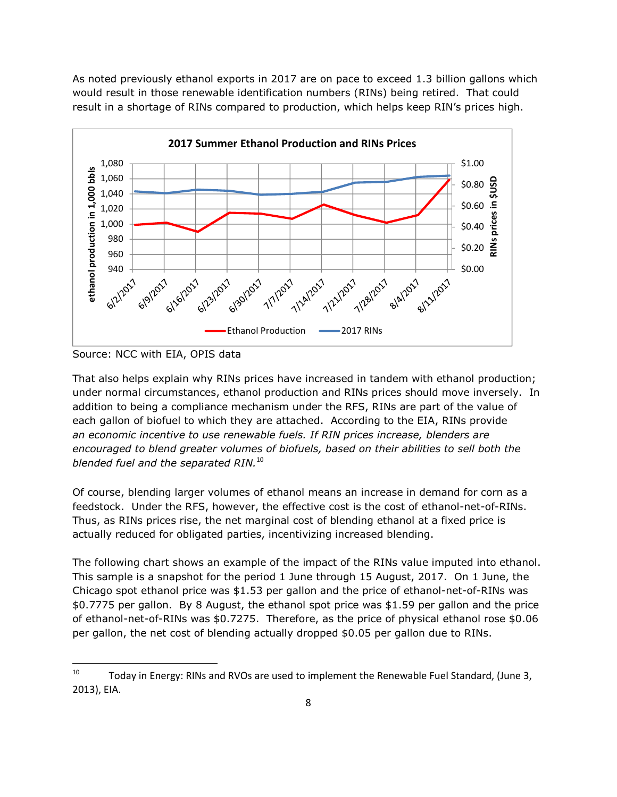As noted previously ethanol exports in 2017 are on pace to exceed 1.3 billion gallons which would result in those renewable identification numbers (RINs) being retired. That could result in a shortage of RINs compared to production, which helps keep RIN's prices high.



Source: NCC with EIA, OPIS data

That also helps explain why RINs prices have increased in tandem with ethanol production; under normal circumstances, ethanol production and RINs prices should move inversely. In addition to being a compliance mechanism under the RFS, RINs are part of the value of each gallon of biofuel to which they are attached. According to the EIA, RINs provide *an economic incentive to use renewable fuels. If RIN prices increase, blenders are encouraged to blend greater volumes of biofuels, based on their abilities to sell both the blended fuel and the separated RIN.*[10](#page-7-0)

Of course, blending larger volumes of ethanol means an increase in demand for corn as a feedstock. Under the RFS, however, the effective cost is the cost of ethanol-net-of-RINs. Thus, as RINs prices rise, the net marginal cost of blending ethanol at a fixed price is actually reduced for obligated parties, incentivizing increased blending.

The following chart shows an example of the impact of the RINs value imputed into ethanol. This sample is a snapshot for the period 1 June through 15 August, 2017. On 1 June, the Chicago spot ethanol price was \$1.53 per gallon and the price of ethanol-net-of-RINs was \$0.7775 per gallon. By 8 August, the ethanol spot price was \$1.59 per gallon and the price of ethanol-net-of-RINs was \$0.7275. Therefore, as the price of physical ethanol rose \$0.06 per gallon, the net cost of blending actually dropped \$0.05 per gallon due to RINs.

<span id="page-7-0"></span> $10$  Today in Energy: RINs and RVOs are used to implement the Renewable Fuel Standard, (June 3, 2013), EIA.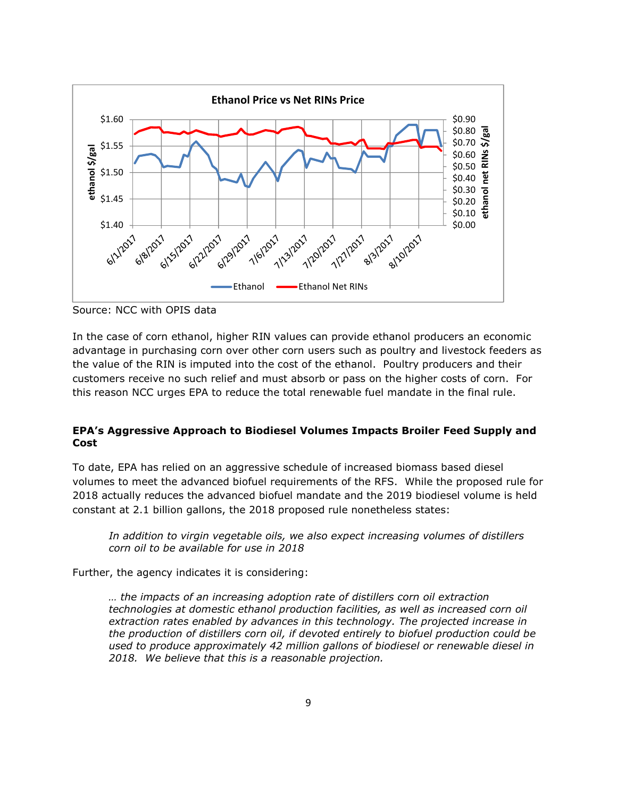

Source: NCC with OPIS data

In the case of corn ethanol, higher RIN values can provide ethanol producers an economic advantage in purchasing corn over other corn users such as poultry and livestock feeders as the value of the RIN is imputed into the cost of the ethanol. Poultry producers and their customers receive no such relief and must absorb or pass on the higher costs of corn. For this reason NCC urges EPA to reduce the total renewable fuel mandate in the final rule.

### **EPA's Aggressive Approach to Biodiesel Volumes Impacts Broiler Feed Supply and Cost**

To date, EPA has relied on an aggressive schedule of increased biomass based diesel volumes to meet the advanced biofuel requirements of the RFS. While the proposed rule for 2018 actually reduces the advanced biofuel mandate and the 2019 biodiesel volume is held constant at 2.1 billion gallons, the 2018 proposed rule nonetheless states:

*In addition to virgin vegetable oils, we also expect increasing volumes of distillers corn oil to be available for use in 2018*

Further, the agency indicates it is considering:

*… the impacts of an increasing adoption rate of distillers corn oil extraction technologies at domestic ethanol production facilities, as well as increased corn oil extraction rates enabled by advances in this technology. The projected increase in the production of distillers corn oil, if devoted entirely to biofuel production could be used to produce approximately 42 million gallons of biodiesel or renewable diesel in 2018. We believe that this is a reasonable projection.*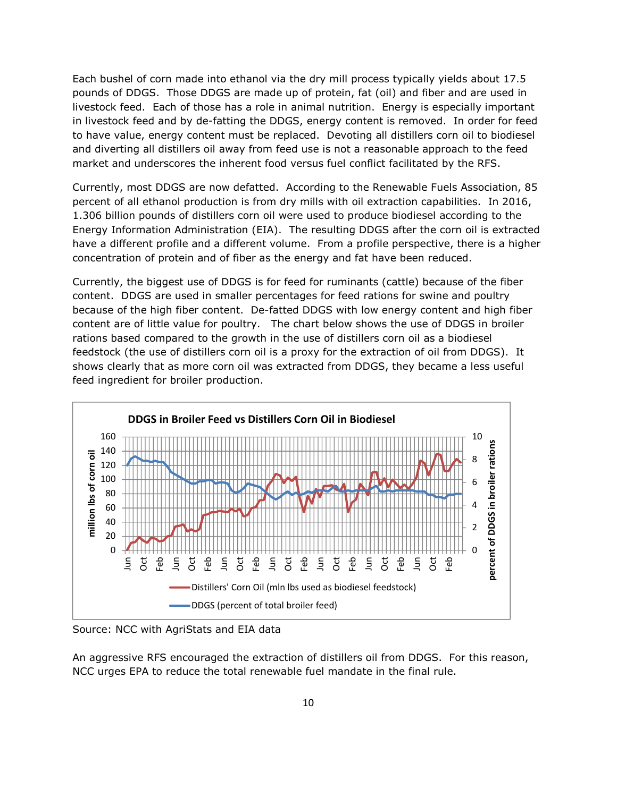Each bushel of corn made into ethanol via the dry mill process typically yields about 17.5 pounds of DDGS. Those DDGS are made up of protein, fat (oil) and fiber and are used in livestock feed. Each of those has a role in animal nutrition. Energy is especially important in livestock feed and by de-fatting the DDGS, energy content is removed. In order for feed to have value, energy content must be replaced. Devoting all distillers corn oil to biodiesel and diverting all distillers oil away from feed use is not a reasonable approach to the feed market and underscores the inherent food versus fuel conflict facilitated by the RFS.

Currently, most DDGS are now defatted. According to the Renewable Fuels Association, 85 percent of all ethanol production is from dry mills with oil extraction capabilities. In 2016, 1.306 billion pounds of distillers corn oil were used to produce biodiesel according to the Energy Information Administration (EIA). The resulting DDGS after the corn oil is extracted have a different profile and a different volume. From a profile perspective, there is a higher concentration of protein and of fiber as the energy and fat have been reduced.

Currently, the biggest use of DDGS is for feed for ruminants (cattle) because of the fiber content. DDGS are used in smaller percentages for feed rations for swine and poultry because of the high fiber content. De-fatted DDGS with low energy content and high fiber content are of little value for poultry. The chart below shows the use of DDGS in broiler rations based compared to the growth in the use of distillers corn oil as a biodiesel feedstock (the use of distillers corn oil is a proxy for the extraction of oil from DDGS). It shows clearly that as more corn oil was extracted from DDGS, they became a less useful feed ingredient for broiler production.



Source: NCC with AgriStats and EIA data

An aggressive RFS encouraged the extraction of distillers oil from DDGS. For this reason, NCC urges EPA to reduce the total renewable fuel mandate in the final rule.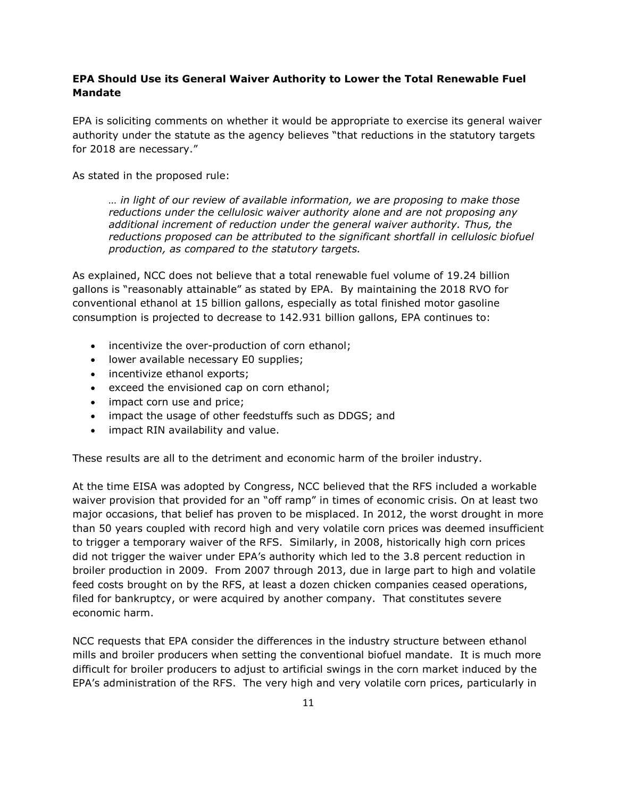### **EPA Should Use its General Waiver Authority to Lower the Total Renewable Fuel Mandate**

EPA is soliciting comments on whether it would be appropriate to exercise its general waiver authority under the statute as the agency believes "that reductions in the statutory targets for 2018 are necessary."

As stated in the proposed rule:

*… in light of our review of available information, we are proposing to make those reductions under the cellulosic waiver authority alone and are not proposing any additional increment of reduction under the general waiver authority. Thus, the reductions proposed can be attributed to the significant shortfall in cellulosic biofuel production, as compared to the statutory targets.*

As explained, NCC does not believe that a total renewable fuel volume of 19.24 billion gallons is "reasonably attainable" as stated by EPA. By maintaining the 2018 RVO for conventional ethanol at 15 billion gallons, especially as total finished motor gasoline consumption is projected to decrease to 142.931 billion gallons, EPA continues to:

- incentivize the over-production of corn ethanol;
- **.** lower available necessary E0 supplies;
- incentivize ethanol exports;
- exceed the envisioned cap on corn ethanol;
- impact corn use and price;
- impact the usage of other feedstuffs such as DDGS; and
- impact RIN availability and value.

These results are all to the detriment and economic harm of the broiler industry.

At the time EISA was adopted by Congress, NCC believed that the RFS included a workable waiver provision that provided for an "off ramp" in times of economic crisis. On at least two major occasions, that belief has proven to be misplaced. In 2012, the worst drought in more than 50 years coupled with record high and very volatile corn prices was deemed insufficient to trigger a temporary waiver of the RFS. Similarly, in 2008, historically high corn prices did not trigger the waiver under EPA's authority which led to the 3.8 percent reduction in broiler production in 2009. From 2007 through 2013, due in large part to high and volatile feed costs brought on by the RFS, at least a dozen chicken companies ceased operations, filed for bankruptcy, or were acquired by another company. That constitutes severe economic harm.

NCC requests that EPA consider the differences in the industry structure between ethanol mills and broiler producers when setting the conventional biofuel mandate. It is much more difficult for broiler producers to adjust to artificial swings in the corn market induced by the EPA's administration of the RFS. The very high and very volatile corn prices, particularly in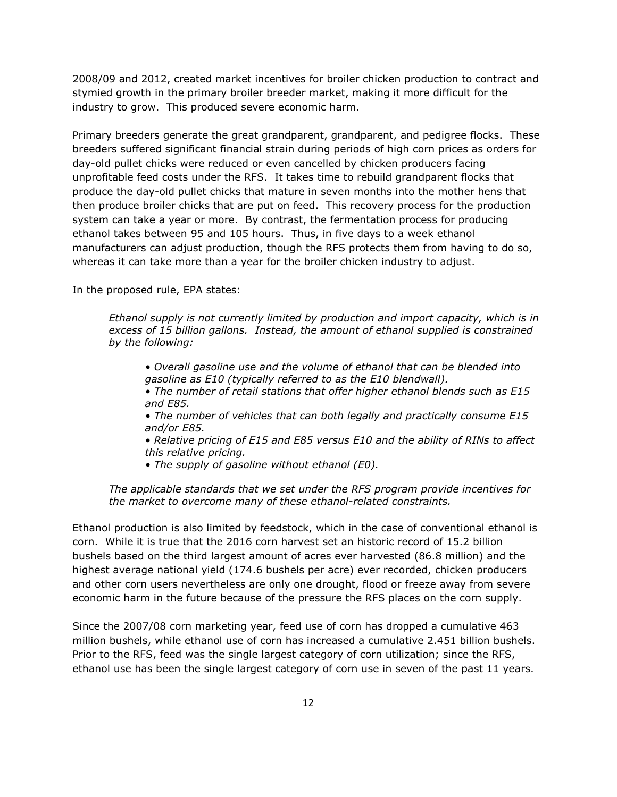2008/09 and 2012, created market incentives for broiler chicken production to contract and stymied growth in the primary broiler breeder market, making it more difficult for the industry to grow. This produced severe economic harm.

Primary breeders generate the great grandparent, grandparent, and pedigree flocks. These breeders suffered significant financial strain during periods of high corn prices as orders for day-old pullet chicks were reduced or even cancelled by chicken producers facing unprofitable feed costs under the RFS. It takes time to rebuild grandparent flocks that produce the day-old pullet chicks that mature in seven months into the mother hens that then produce broiler chicks that are put on feed. This recovery process for the production system can take a year or more. By contrast, the fermentation process for producing ethanol takes between 95 and 105 hours. Thus, in five days to a week ethanol manufacturers can adjust production, though the RFS protects them from having to do so, whereas it can take more than a year for the broiler chicken industry to adjust.

In the proposed rule, EPA states:

*Ethanol supply is not currently limited by production and import capacity, which is in excess of 15 billion gallons. Instead, the amount of ethanol supplied is constrained by the following:*

*• Overall gasoline use and the volume of ethanol that can be blended into gasoline as E10 (typically referred to as the E10 blendwall).*

*• The number of retail stations that offer higher ethanol blends such as E15 and E85.*

*• The number of vehicles that can both legally and practically consume E15 and/or E85.*

*• Relative pricing of E15 and E85 versus E10 and the ability of RINs to affect this relative pricing.*

*• The supply of gasoline without ethanol (E0).*

*The applicable standards that we set under the RFS program provide incentives for the market to overcome many of these ethanol-related constraints.*

Ethanol production is also limited by feedstock, which in the case of conventional ethanol is corn. While it is true that the 2016 corn harvest set an historic record of 15.2 billion bushels based on the third largest amount of acres ever harvested (86.8 million) and the highest average national yield (174.6 bushels per acre) ever recorded, chicken producers and other corn users nevertheless are only one drought, flood or freeze away from severe economic harm in the future because of the pressure the RFS places on the corn supply.

Since the 2007/08 corn marketing year, feed use of corn has dropped a cumulative 463 million bushels, while ethanol use of corn has increased a cumulative 2.451 billion bushels. Prior to the RFS, feed was the single largest category of corn utilization; since the RFS, ethanol use has been the single largest category of corn use in seven of the past 11 years.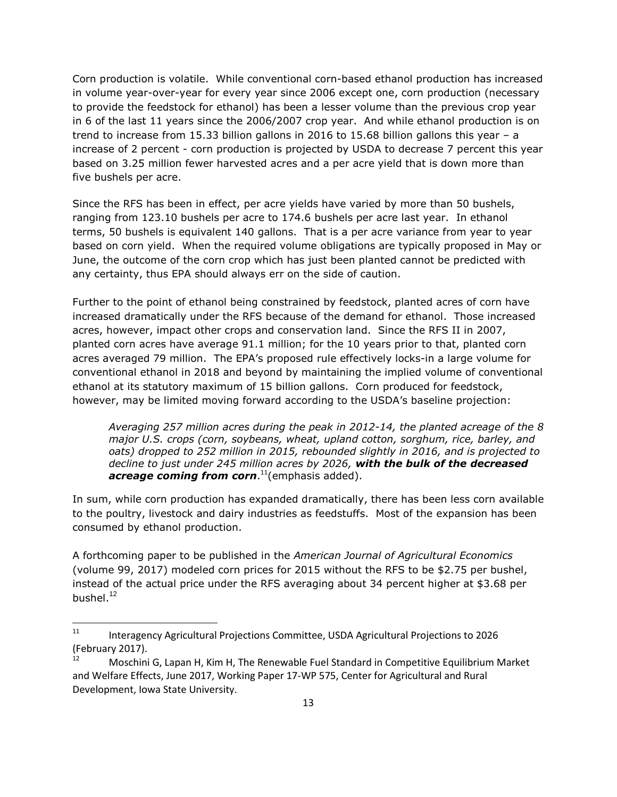Corn production is volatile. While conventional corn-based ethanol production has increased in volume year-over-year for every year since 2006 except one, corn production (necessary to provide the feedstock for ethanol) has been a lesser volume than the previous crop year in 6 of the last 11 years since the 2006/2007 crop year. And while ethanol production is on trend to increase from 15.33 billion gallons in 2016 to 15.68 billion gallons this year – a increase of 2 percent - corn production is projected by USDA to decrease 7 percent this year based on 3.25 million fewer harvested acres and a per acre yield that is down more than five bushels per acre.

Since the RFS has been in effect, per acre yields have varied by more than 50 bushels, ranging from 123.10 bushels per acre to 174.6 bushels per acre last year. In ethanol terms, 50 bushels is equivalent 140 gallons. That is a per acre variance from year to year based on corn yield. When the required volume obligations are typically proposed in May or June, the outcome of the corn crop which has just been planted cannot be predicted with any certainty, thus EPA should always err on the side of caution.

Further to the point of ethanol being constrained by feedstock, planted acres of corn have increased dramatically under the RFS because of the demand for ethanol. Those increased acres, however, impact other crops and conservation land. Since the RFS II in 2007, planted corn acres have average 91.1 million; for the 10 years prior to that, planted corn acres averaged 79 million. The EPA's proposed rule effectively locks-in a large volume for conventional ethanol in 2018 and beyond by maintaining the implied volume of conventional ethanol at its statutory maximum of 15 billion gallons. Corn produced for feedstock, however, may be limited moving forward according to the USDA's baseline projection:

*Averaging 257 million acres during the peak in 2012-14, the planted acreage of the 8 major U.S. crops (corn, soybeans, wheat, upland cotton, sorghum, rice, barley, and oats) dropped to 252 million in 2015, rebounded slightly in 2016, and is projected to decline to just under 245 million acres by 2026, with the bulk of the decreased acreage coming from corn*. [11](#page-12-0)(emphasis added).

In sum, while corn production has expanded dramatically, there has been less corn available to the poultry, livestock and dairy industries as feedstuffs. Most of the expansion has been consumed by ethanol production.

A forthcoming paper to be published in the *American Journal of Agricultural Economics* (volume 99, 2017) modeled corn prices for 2015 without the RFS to be \$2.75 per bushel, instead of the actual price under the RFS averaging about 34 percent higher at \$3.68 per bushel. $12$ 

<span id="page-12-0"></span><sup>&</sup>lt;sup>11</sup> Interagency Agricultural Projections Committee, USDA Agricultural Projections to 2026 (February 2017).

<span id="page-12-1"></span>Moschini G, Lapan H, Kim H, The Renewable Fuel Standard in Competitive Equilibrium Market and Welfare Effects, June 2017, Working Paper 17-WP 575, Center for Agricultural and Rural Development, Iowa State University.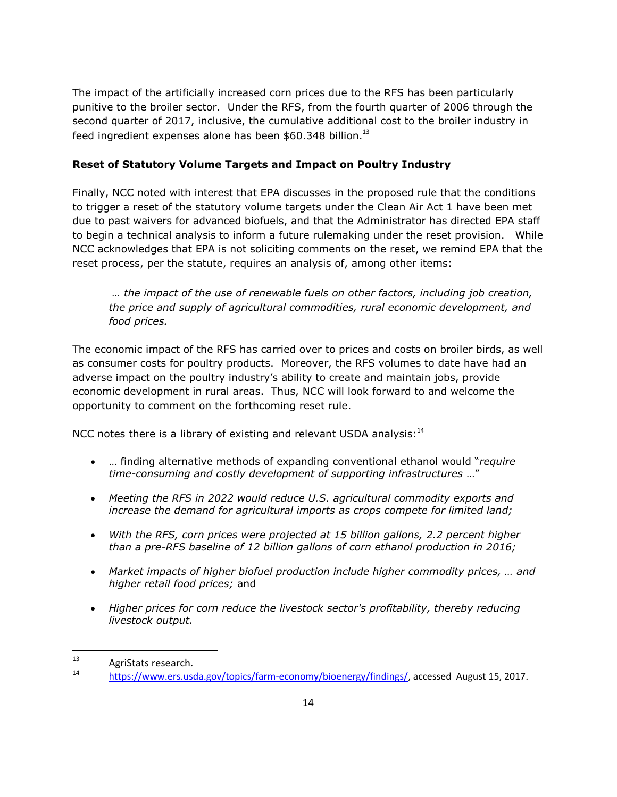The impact of the artificially increased corn prices due to the RFS has been particularly punitive to the broiler sector. Under the RFS, from the fourth quarter of 2006 through the second quarter of 2017, inclusive, the cumulative additional cost to the broiler industry in feed ingredient expenses alone has been  $$60.348$  billion.<sup>[13](#page-13-0)</sup>

## **Reset of Statutory Volume Targets and Impact on Poultry Industry**

Finally, NCC noted with interest that EPA discusses in the proposed rule that the conditions to trigger a reset of the statutory volume targets under the Clean Air Act 1 have been met due to past waivers for advanced biofuels, and that the Administrator has directed EPA staff to begin a technical analysis to inform a future rulemaking under the reset provision. While NCC acknowledges that EPA is not soliciting comments on the reset, we remind EPA that the reset process, per the statute, requires an analysis of, among other items:

*… the impact of the use of renewable fuels on other factors, including job creation, the price and supply of agricultural commodities, rural economic development, and food prices.*

The economic impact of the RFS has carried over to prices and costs on broiler birds, as well as consumer costs for poultry products. Moreover, the RFS volumes to date have had an adverse impact on the poultry industry's ability to create and maintain jobs, provide economic development in rural areas. Thus, NCC will look forward to and welcome the opportunity to comment on the forthcoming reset rule.

NCC notes there is a library of existing and relevant USDA analysis: $14$ 

- … finding alternative methods of expanding conventional ethanol would "*require time-consuming and costly development of supporting infrastructures* …"
- *Meeting the RFS in 2022 would reduce U.S. agricultural commodity exports and increase the demand for agricultural imports as crops compete for limited land;*
- *With the RFS, corn prices were projected at 15 billion gallons, 2.2 percent higher than a pre-RFS baseline of 12 billion gallons of corn ethanol production in 2016;*
- *Market impacts of higher biofuel production include higher commodity prices, … and higher retail food prices;* and
- *Higher prices for corn reduce the livestock sector's profitability, thereby reducing livestock output.*

<span id="page-13-0"></span> $13$  AgriStats research.

<span id="page-13-1"></span><sup>14</sup> https://www.ers.usda.gov/topics/farm-economy/bioenergy/findings/, accessed August 15, 2017.